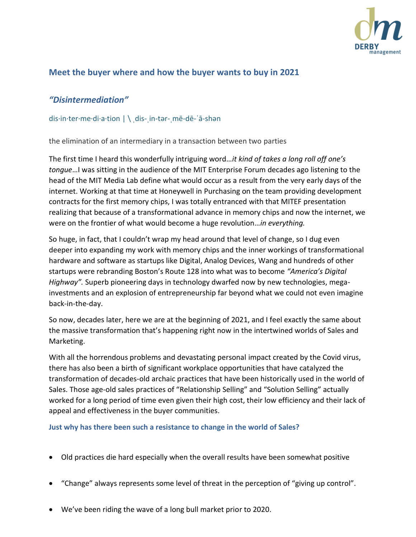

## **Meet the buyer where and how the buyer wants to buy in 2021**

## *"Disintermediation"*

dis·in·ter·me·di·a·tion | \ ˌdis-ˌin-tər-ˌmē-dē-ˈā-shən

the elimination of an intermediary in a transaction between two parties

The first time I heard this wonderfully intriguing word…*it kind of takes a long roll off one's tongue*…I was sitting in the audience of the MIT Enterprise Forum decades ago listening to the head of the MIT Media Lab define what would occur as a result from the very early days of the internet. Working at that time at Honeywell in Purchasing on the team providing development contracts for the first memory chips, I was totally entranced with that MITEF presentation realizing that because of a transformational advance in memory chips and now the internet, we were on the frontier of what would become a huge revolution…*in everything.*

So huge, in fact, that I couldn't wrap my head around that level of change, so I dug even deeper into expanding my work with memory chips and the inner workings of transformational hardware and software as startups like Digital, Analog Devices, Wang and hundreds of other startups were rebranding Boston's Route 128 into what was to become *"America's Digital Highway".* Superb pioneering days in technology dwarfed now by new technologies, megainvestments and an explosion of entrepreneurship far beyond what we could not even imagine back-in-the-day.

So now, decades later, here we are at the beginning of 2021, and I feel exactly the same about the massive transformation that's happening right now in the intertwined worlds of Sales and Marketing.

With all the horrendous problems and devastating personal impact created by the Covid virus, there has also been a birth of significant workplace opportunities that have catalyzed the transformation of decades-old archaic practices that have been historically used in the world of Sales. Those age-old sales practices of "Relationship Selling" and "Solution Selling" actually worked for a long period of time even given their high cost, their low efficiency and their lack of appeal and effectiveness in the buyer communities.

### **Just why has there been such a resistance to change in the world of Sales?**

- Old practices die hard especially when the overall results have been somewhat positive
- "Change" always represents some level of threat in the perception of "giving up control".
- We've been riding the wave of a long bull market prior to 2020.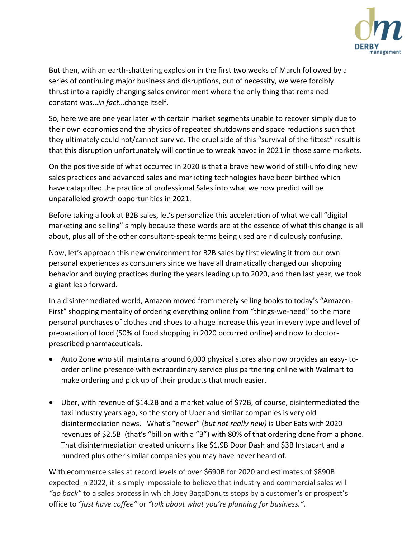

But then, with an earth-shattering explosion in the first two weeks of March followed by a series of continuing major business and disruptions, out of necessity, we were forcibly thrust into a rapidly changing sales environment where the only thing that remained constant was…*in fact*…change itself.

So, here we are one year later with certain market segments unable to recover simply due to their own economics and the physics of repeated shutdowns and space reductions such that they ultimately could not/cannot survive. The cruel side of this "survival of the fittest" result is that this disruption unfortunately will continue to wreak havoc in 2021 in those same markets.

On the positive side of what occurred in 2020 is that a brave new world of still-unfolding new sales practices and advanced sales and marketing technologies have been birthed which have catapulted the practice of professional Sales into what we now predict will be unparalleled growth opportunities in 2021.

Before taking a look at B2B sales, let's personalize this acceleration of what we call "digital marketing and selling" simply because these words are at the essence of what this change is all about, plus all of the other consultant-speak terms being used are ridiculously confusing.

Now, let's approach this new environment for B2B sales by first viewing it from our own personal experiences as consumers since we have all dramatically changed our shopping behavior and buying practices during the years leading up to 2020, and then last year, we took a giant leap forward.

In a disintermediated world, Amazon moved from merely selling books to today's "Amazon-First" shopping mentality of ordering everything online from "things-we-need" to the more personal purchases of clothes and shoes to a huge increase this year in every type and level of preparation of food (50% of food shopping in 2020 occurred online) and now to doctorprescribed pharmaceuticals.

- Auto Zone who still maintains around 6,000 physical stores also now provides an easy- toorder online presence with extraordinary service plus partnering online with Walmart to make ordering and pick up of their products that much easier.
- Uber, with revenue of \$14.2B and a market value of \$72B, of course, disintermediated the taxi industry years ago, so the story of Uber and similar companies is very old disintermediation news. What's "newer" (*but not really new)* is Uber Eats with 2020 revenues of \$2.5B (that's "billion with a "B") with 80% of that ordering done from a phone. That disintermediation created unicorns like \$1.9B Door Dash and \$3B Instacart and a hundred plus other similar companies you may have never heard of.

With ecommerce sales at record levels of over \$690B for 2020 and estimates of \$890B expected in 2022, it is simply impossible to believe that industry and commercial sales will *"go back"* to a sales process in which Joey BagaDonuts stops by a customer's or prospect's office to *"just have coffee"* or *"talk about what you're planning for business."*.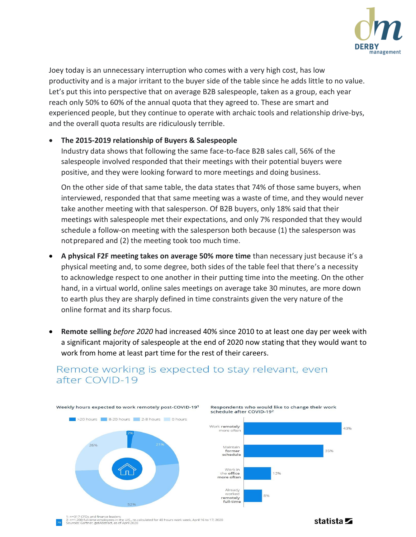

Joey today is an unnecessary interruption who comes with a very high cost, has low productivity and is a major irritant to the buyer side of the table since he adds little to no value. Let's put this into perspective that on average B2B salespeople, taken as a group, each year reach only 50% to 60% of the annual quota that they agreed to. These are smart and experienced people, but they continue to operate with archaic tools and relationship drive-bys, and the overall quota results are ridiculously terrible.

### • **The 2015-2019 relationship of Buyers & Salespeople**

Industry data shows that following the same face-to-face B2B sales call, 56% of the salespeople involved responded that their meetings with their potential buyers were positive, and they were looking forward to more meetings and doing business.

On the other side of that same table, the data states that 74% of those same buyers, when interviewed, responded that that same meeting was a waste of time, and they would never take another meeting with that salesperson. Of B2B buyers, only 18% said that their meetings with salespeople met their expectations, and only 7% responded that they would schedule a follow-on meeting with the salesperson both because (1) the salesperson was not prepared and (2) the meeting took too much time.

- **A physical F2F meeting takes on average 50% more time** than necessary just because it's a physical meeting and, to some degree, both sides of the table feel that there's a necessity to acknowledge respect to one another in their putting time into the meeting. On the other hand, in a virtual world, online sales meetings on average take 30 minutes, are more down to earth plus they are sharply defined in time constraints given the very nature of the online format and its sharp focus.
- **Remote selling** *before 2020* had increased 40% since 2010 to at least one day per week with a significant majority of salespeople at the end of 2020 now stating that they would want to work from home at least part time for the rest of their careers.



## Remote working is expected to stay relevant, even after COVID-19

n=317 CFOs and finance leaders<br>n=1,200 full-time employees in the U.S., re-calculated for 40 hours work week, April 16 to 17, 2020<br>ources: Gartner, getAbstract, as of April 2020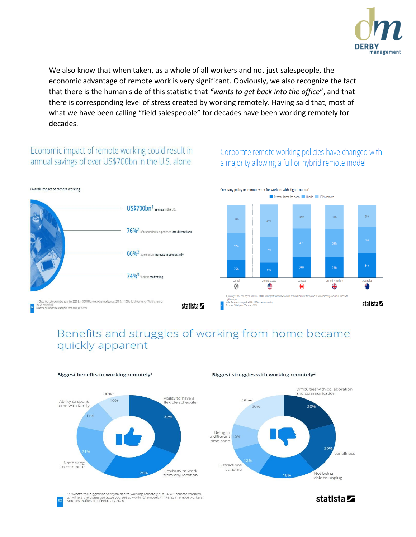

We also know that when taken, as a whole of all workers and not just salespeople, the economic advantage of remote work is very significant. Obviously, we also recognize the fact that there is the human side of this statistic that *"wants to get back into the office*", and that there is corresponding level of stress created by working remotely. Having said that, most of what we have been calling "field salespeople" for decades have been working remotely for decades.

## Economic impact of remote working could result in annual savings of over US\$700bn in the U.S. alone



## Corporate remote working policies have changed with a majority allowing a full or hybrid remote model



## Benefits and struggles of working from home became quickly apparent



Biggest benefits to working remotely<sup>1</sup>

#### Biggest struggles with working remotely<sup>2</sup>



'What's the biggest benefit you see to working remotely?"; n=3,521 remote workers<br>'What's the biggest struggle you see to working remotely?"; n=3,521 remote workers<br>urces: Buffer, as of February 2020

statista **Z**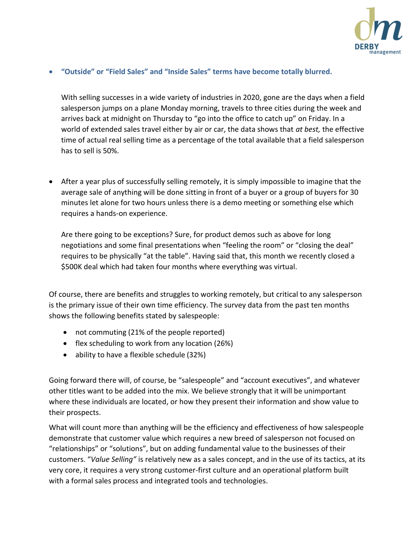

### • **"Outside" or "Field Sales" and "Inside Sales" terms have become totally blurred.**

With selling successes in a wide variety of industries in 2020, gone are the days when a field salesperson jumps on a plane Monday morning, travels to three cities during the week and arrives back at midnight on Thursday to "go into the office to catch up" on Friday. In a world of extended sales travel either by air or car, the data shows that *at best,* the effective time of actual real selling time as a percentage of the total available that a field salesperson has to sell is 50%.

• After a year plus of successfully selling remotely, it is simply impossible to imagine that the average sale of anything will be done sitting in front of a buyer or a group of buyers for 30 minutes let alone for two hours unless there is a demo meeting or something else which requires a hands-on experience.

Are there going to be exceptions? Sure, for product demos such as above for long negotiations and some final presentations when "feeling the room" or "closing the deal" requires to be physically "at the table". Having said that, this month we recently closed a \$500K deal which had taken four months where everything was virtual.

Of course, there are benefits and struggles to working remotely, but critical to any salesperson is the primary issue of their own time efficiency. The survey data from the past ten months shows the following benefits stated by salespeople:

- not commuting (21% of the people reported)
- flex scheduling to work from any location (26%)
- ability to have a flexible schedule (32%)

Going forward there will, of course, be "salespeople" and "account executives", and whatever other titles want to be added into the mix. We believe strongly that it will be unimportant where these individuals are located, or how they present their information and show value to their prospects.

What will count more than anything will be the efficiency and effectiveness of how salespeople demonstrate that customer value which requires a new breed of salesperson not focused on "relationships" or "solutions", but on adding fundamental value to the businesses of their customers. "*Value Selling"* is relatively new as a sales concept, and in the use of its tactics, at its very core, it requires a very strong customer-first culture and an operational platform built with a formal sales process and integrated tools and technologies.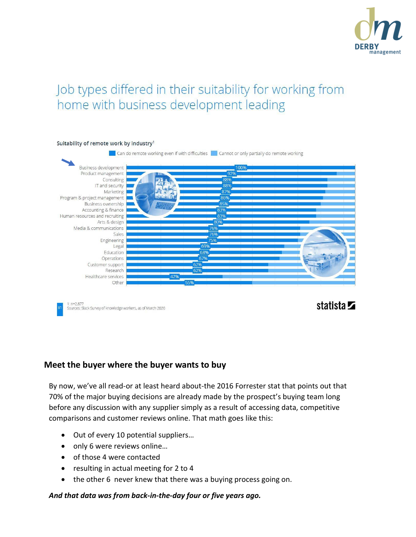

# Job types differed in their suitability for working from home with business development leading



## **Meet the buyer where the buyer wants to buy**

By now, we've all read-or at least heard about-the 2016 Forrester stat that points out that 70% of the major buying decisions are already made by the prospect's buying team long before any discussion with any supplier simply as a result of accessing data, competitive comparisons and customer reviews online. That math goes like this:

- Out of every 10 potential suppliers…
- only 6 were reviews online...
- of those 4 were contacted
- resulting in actual meeting for 2 to 4
- the other 6 never knew that there was a buying process going on.

*And that data was from back-in-the-day four or five years ago.*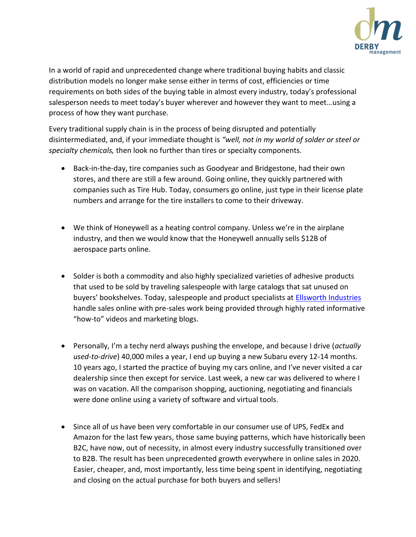

In a world of rapid and unprecedented change where traditional buying habits and classic distribution models no longer make sense either in terms of cost, efficiencies or time requirements on both sides of the buying table in almost every industry, today's professional salesperson needs to meet today's buyer wherever and however they want to meet…using a process of how they want purchase.

Every traditional supply chain is in the process of being disrupted and potentially disintermediated, and, if your immediate thought is *"well, not in my world of solder or steel or specialty chemicals,* then look no further than tires or specialty components.

- Back-in-the-day, tire companies such as Goodyear and Bridgestone, had their own stores, and there are still a few around. Going online, they quickly partnered with companies such as Tire Hub. Today, consumers go online, just type in their license plate numbers and arrange for the tire installers to come to their driveway.
- We think of Honeywell as a heating control company. Unless we're in the airplane industry, and then we would know that the Honeywell annually sells \$12B of aerospace parts online.
- Solder is both a commodity and also highly specialized varieties of adhesive products that used to be sold by traveling salespeople with large catalogs that sat unused on buyers' bookshelves. Today, salespeople and product specialists at **[Ellsworth Industries](https://www.ellsworth.com/)** handle sales online with pre-sales work being provided through highly rated informative "how-to" videos and marketing blogs.
- Personally, I'm a techy nerd always pushing the envelope, and because I drive (*actually used-to-drive*) 40,000 miles a year, I end up buying a new Subaru every 12-14 months. 10 years ago, I started the practice of buying my cars online, and I've never visited a car dealership since then except for service. Last week, a new car was delivered to where I was on vacation. All the comparison shopping, auctioning, negotiating and financials were done online using a variety of software and virtual tools.
- Since all of us have been very comfortable in our consumer use of UPS, FedEx and Amazon for the last few years, those same buying patterns, which have historically been B2C, have now, out of necessity, in almost every industry successfully transitioned over to B2B. The result has been unprecedented growth everywhere in online sales in 2020. Easier, cheaper, and, most importantly, less time being spent in identifying, negotiating and closing on the actual purchase for both buyers and sellers!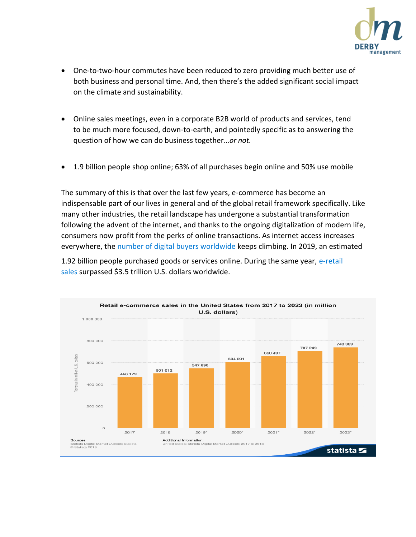

- One-to-two-hour commutes have been reduced to zero providing much better use of both business and personal time. And, then there's the added significant social impact on the climate and sustainability.
- Online sales meetings, even in a corporate B2B world of products and services, tend to be much more focused, down-to-earth, and pointedly specific as to answering the question of how we can do business together…*or not.*
- 1.9 billion people shop online; 63% of all purchases begin online and 50% use mobile

The summary of this is that over the last few years, e-commerce has become an indispensable part of our lives in general and of the global retail framework specifically. Like many other industries, the retail landscape has undergone a substantial transformation following the advent of the internet, and thanks to the ongoing digitalization of modern life, consumers now profit from the perks of online transactions. As internet access increases everywhere, th[e number of digital buyers worldwide k](https://www.statista.com/statistics/251666/number-of-digital-buyers-worldwide/)eeps climbing. In 2019, an estimated

1.92 billion people purchased goods or services online. During the same year, [e-retail](https://www.statista.com/statistics/379046/worldwide-retail-e-commerce-sales/) [sales s](https://www.statista.com/statistics/379046/worldwide-retail-e-commerce-sales/)urpassed \$3.5 trillion U.S. dollars worldwide.

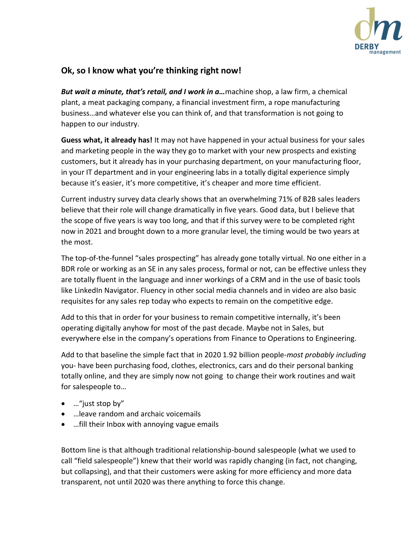

## **Ok, so I know what you're thinking right now!**

*But wait a minute, that's retail, and I work in a…*machine shop, a law firm, a chemical plant, a meat packaging company, a financial investment firm, a rope manufacturing business…and whatever else you can think of, and that transformation is not going to happen to our industry.

**Guess what, it already has!** It may not have happened in your actual business for your sales and marketing people in the way they go to market with your new prospects and existing customers, but it already has in your purchasing department, on your manufacturing floor, in your IT department and in your engineering labs in a totally digital experience simply because it's easier, it's more competitive, it's cheaper and more time efficient.

Current industry survey data clearly shows that an overwhelming 71% of B2B sales leaders believe that their role will change dramatically in five years. Good data, but I believe that the scope of five years is way too long, and that if this survey were to be completed right now in 2021 and brought down to a more granular level, the timing would be two years at the most.

The top-of-the-funnel "sales prospecting" has already gone totally virtual. No one either in a BDR role or working as an SE in any sales process, formal or not, can be effective unless they are totally fluent in the language and inner workings of a CRM and in the use of basic tools like LinkedIn Navigator. Fluency in other social media channels and in video are also basic requisites for any sales rep today who expects to remain on the competitive edge.

Add to this that in order for your business to remain competitive internally, it's been operating digitally anyhow for most of the past decade. Maybe not in Sales, but everywhere else in the company's operations from Finance to Operations to Engineering.

Add to that baseline the simple fact that in 2020 1.92 billion people*-most probably including*  you- have been purchasing food, clothes, electronics, cars and do their personal banking totally online, and they are simply now not going to change their work routines and wait for salespeople to…

- …"just stop by"
- …leave random and archaic voicemails
- …fill their Inbox with annoying vague emails

Bottom line is that although traditional relationship-bound salespeople (what we used to call "field salespeople") knew that their world was rapidly changing (in fact, not changing, but collapsing), and that their customers were asking for more efficiency and more data transparent, not until 2020 was there anything to force this change.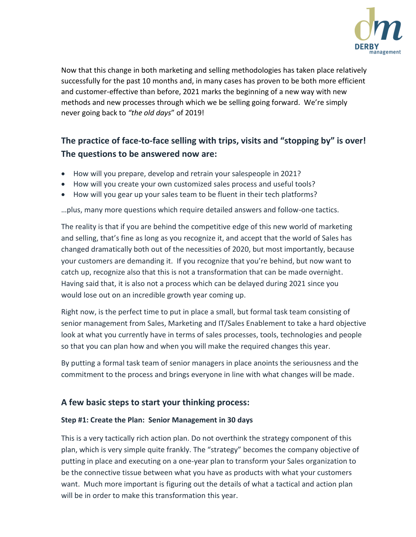

Now that this change in both marketing and selling methodologies has taken place relatively successfully for the past 10 months and, in many cases has proven to be both more efficient and customer-effective than before, 2021 marks the beginning of a new way with new methods and new processes through which we be selling going forward. We're simply never going back to *"the old days*" of 2019!

## **The practice of face-to-face selling with trips, visits and "stopping by" is over! The questions to be answered now are:**

- How will you prepare, develop and retrain your salespeople in 2021?
- How will you create your own customized sales process and useful tools?
- How will you gear up your sales team to be fluent in their tech platforms?

…plus, many more questions which require detailed answers and follow-one tactics.

The reality is that if you are behind the competitive edge of this new world of marketing and selling, that's fine as long as you recognize it, and accept that the world of Sales has changed dramatically both out of the necessities of 2020, but most importantly, because your customers are demanding it. If you recognize that you're behind, but now want to catch up, recognize also that this is not a transformation that can be made overnight. Having said that, it is also not a process which can be delayed during 2021 since you would lose out on an incredible growth year coming up.

Right now, is the perfect time to put in place a small, but formal task team consisting of senior management from Sales, Marketing and IT/Sales Enablement to take a hard objective look at what you currently have in terms of sales processes, tools, technologies and people so that you can plan how and when you will make the required changes this year.

By putting a formal task team of senior managers in place anoints the seriousness and the commitment to the process and brings everyone in line with what changes will be made.

## **A few basic steps to start your thinking process:**

### **Step #1: Create the Plan: Senior Management in 30 days**

This is a very tactically rich action plan. Do not overthink the strategy component of this plan, which is very simple quite frankly. The "strategy" becomes the company objective of putting in place and executing on a one-year plan to transform your Sales organization to be the connective tissue between what you have as products with what your customers want. Much more important is figuring out the details of what a tactical and action plan will be in order to make this transformation this year.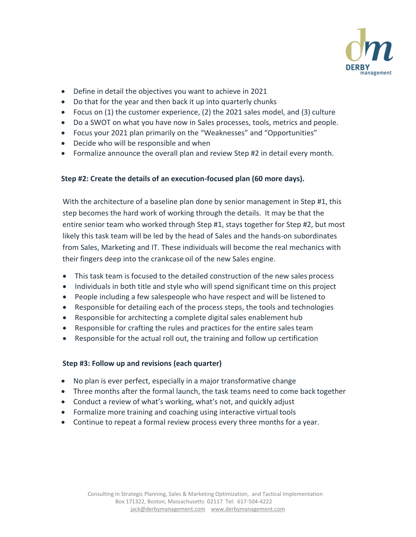

- Define in detail the objectives you want to achieve in 2021
- Do that for the year and then back it up into quarterly chunks
- Focus on (1) the customer experience, (2) the 2021 sales model, and (3) culture
- Do a SWOT on what you have now in Sales processes, tools, metrics and people.
- Focus your 2021 plan primarily on the "Weaknesses" and "Opportunities"
- Decide who will be responsible and when
- Formalize announce the overall plan and review Step #2 in detail every month.

### **Step #2: Create the details of an execution-focused plan (60 more days).**

With the architecture of a baseline plan done by senior management in Step #1, this step becomes the hard work of working through the details. It may be that the entire senior team who worked through Step #1, stays together for Step #2, but most likely this task team will be led by the head of Sales and the hands-on subordinates from Sales, Marketing and IT. These individuals will become the real mechanics with their fingers deep into the crankcase oil of the new Sales engine.

- This task team is focused to the detailed construction of the new sales process
- Individuals in both title and style who will spend significant time on this project
- People including a few salespeople who have respect and will be listened to
- Responsible for detailing each of the process steps, the tools and technologies
- Responsible for architecting a complete digital sales enablement hub
- Responsible for crafting the rules and practices for the entire sales team
- Responsible for the actual roll out, the training and follow up certification

### **Step #3: Follow up and revisions (each quarter)**

- No plan is ever perfect, especially in a major transformative change
- Three months after the formal launch, the task teams need to come back together
- Conduct a review of what's working, what's not, and quickly adjust
- Formalize more training and coaching using interactive virtual tools
- Continue to repeat a formal review process every three months for a year.